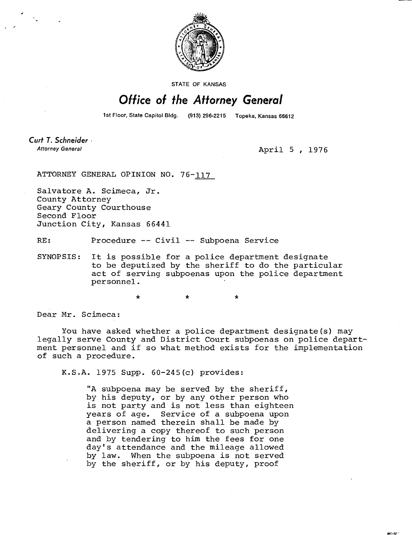

**STATE OF KANSAS** 

## Office of the Attorney General

1st Floor, State Capitol Bldg. (913) 296-2215 Topeka, Kansas 66612

Curt T. Schneider Attorney General

April 5 , 1976

ATTORNEY GENERAL OPINION NO. 76-117

Salvatore A. Scimeca, Jr. County Attorney Geary County Courthouse Second Floor Junction City, Kansas 66441

RE: Procedure -- Civil -- Subpoena Service

SYNOPSIS: It is possible for a police department designate to be deputized by the sheriff to do the particular act of serving subpoenas upon the police department personnel.

Dear Mr. Scimeca:

You have asked whether a police department designate(s) may legally serve County and District Court subpoenas on police department personnel and if so what method exists for the implementation of such a procedure.

K.S.A. 1975 Supp. 60-245(c) provides:

\*

"A subpoena may be served by the sheriff, by his deputy, or by any other person who is not party and is not less than eighteen years of age. Service of a subpoena upon a person named therein shall be made by delivering a copy thereof to such person and by tendering to him the fees for one day's attendance and the mileage allowed by law. When the subpoena is not served by the sheriff, or by his deputy, proof